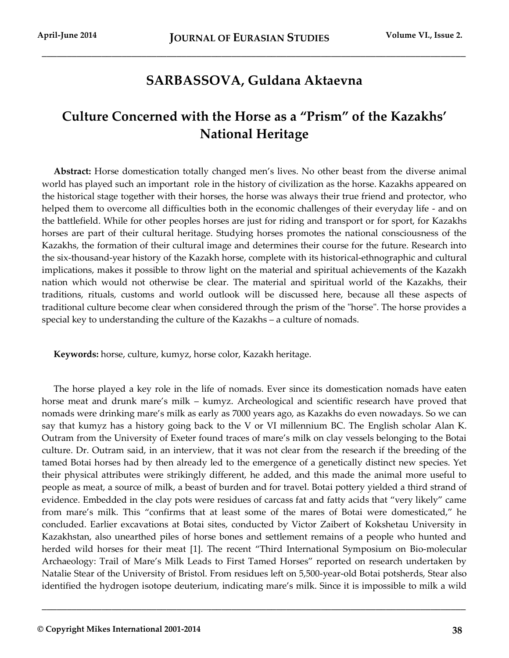## **SARBASSOVA, Guldana Aktaevna**

\_\_\_\_\_\_\_\_\_\_\_\_\_\_\_\_\_\_\_\_\_\_\_\_\_\_\_\_\_\_\_\_\_\_\_\_\_\_\_\_\_\_\_\_\_\_\_\_\_\_\_\_\_\_\_\_\_\_\_\_\_\_\_\_\_\_\_\_\_\_\_\_\_\_\_\_\_\_\_\_\_\_\_\_\_

## **Culture Concerned with the Horse as a "Prism" of the Kazakhs' National Heritage**

**Abstract:** Horse domestication totally changed men's lives. No other beast from the diverse animal world has played such an important role in the history of civilization as the horse. Kazakhs appeared on the historical stage together with their horses, the horse was always their true friend and protector, who helped them to overcome all difficulties both in the economic challenges of their everyday life - and on the battlefield. While for other peoples horses are just for riding and transport or for sport, for Kazakhs horses are part of their cultural heritage. Studying horses promotes the national consciousness of the Kazakhs, the formation of their cultural image and determines their course for the future. Research into the six-thousand-year history of the Kazakh horse, complete with its historical-ethnographic and cultural implications, makes it possible to throw light on the material and spiritual achievements of the Kazakh nation which would not otherwise be clear. The material and spiritual world of the Kazakhs, their traditions, rituals, customs and world outlook will be discussed here, because all these aspects of traditional culture become clear when considered through the prism of the "horse". The horse provides a special key to understanding the culture of the Kazakhs – a culture of nomads.

**Keywords:** horse, culture, kumyz, horse color, Kazakh heritage.

The horse played a key role in the life of nomads. Ever since its domestication nomads have eaten horse meat and drunk mare's milk – kumyz. Archeological and scientific research have proved that nomads were drinking mare's milk as early as 7000 years ago, as Kazakhs do even nowadays. So we can say that kumyz has a history going back to the V or VI millennium BC. The English scholar Alan K. Outram from the University of Exeter found traces of mare's milk on clay vessels belonging to the Botai culture. Dr. Outram said, in an interview, that it was not clear from the research if the breeding of the tamed Botai horses had by then already led to the emergence of a genetically distinct new species. Yet their physical attributes were strikingly different, he added, and this made the animal more useful to people as meat, a source of milk, a beast of burden and for travel. Botai pottery yielded a third strand of evidence. Embedded in the clay pots were residues of carcass fat and fatty acids that "very likely" came from mare's milk. This "confirms that at least some of the mares of Botai were domesticated," he concluded. Earlier excavations at Botai sites, conducted by Victor Zaibert of Kokshetau University in Kazakhstan, also unearthed piles of horse bones and settlement remains of a people who hunted and herded wild horses for their meat [1]. The recent "Third International Symposium on Bio-molecular Archaeology: Trail of Mare's Milk Leads to First Tamed Horses" reported on research undertaken by Natalie Stear of the University of Bristol. From residues left on 5,500-year-old Botai potsherds, Stear also identified the hydrogen isotope deuterium, indicating mare's milk. Since it is impossible to milk a wild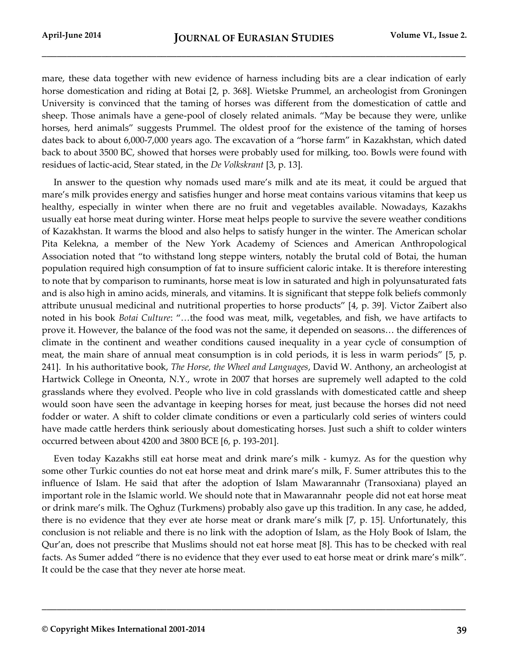mare, these data together with new evidence of harness including bits are a clear indication of early horse domestication and riding at Botai [2, p. 368]. Wietske Prummel, an archeologist from Groningen University is convinced that the taming of horses was different from the domestication of cattle and sheep. Those animals have a gene-pool of closely related animals. "May be because they were, unlike horses, herd animals" suggests Prummel. The oldest proof for the existence of the taming of horses dates back to about 6,000-7,000 years ago. The excavation of a "horse farm" in Kazakhstan, which dated back to about 3500 BC, showed that horses were probably used for milking, too. Bowls were found with residues of lactic-acid, Stear stated, in the *De Volkskrant* [3, p. 13].

In answer to the question why nomads used mare's milk and ate its meat, it could be argued that mare's milk provides energy and satisfies hunger and horse meat contains various vitamins that keep us healthy, especially in winter when there are no fruit and vegetables available. Nowadays, Kazakhs usually eat horse meat during winter. Horse meat helps people to survive the severe weather conditions of Kazakhstan. It warms the blood and also helps to satisfy hunger in the winter. The American scholar Pita Kelekna, a member of the New York Academy of Sciences and American Anthropological Association noted that "to withstand long steppe winters, notably the brutal cold of Botai, the human population required high consumption of fat to insure sufficient caloric intake. It is therefore interesting to note that by comparison to ruminants, horse meat is low in saturated and high in polyunsaturated fats and is also high in amino acids, minerals, and vitamins. It is significant that steppe folk beliefs commonly attribute unusual medicinal and nutritional properties to horse products" [4, p. 39]. Victor Zaibert also noted in his book *Botai Culture*: "…the food was meat, milk, vegetables, and fish, we have artifacts to prove it. However, the balance of the food was not the same, it depended on seasons… the differences of climate in the continent and weather conditions caused inequality in a year cycle of consumption of meat, the main share of annual meat consumption is in cold periods, it is less in warm periods" [5, p. 241]. In his authoritative book, *The Horse, the Wheel and Languages*, David W. Anthony, an archeologist at Hartwick College in Oneonta, N.Y., wrote in 2007 that horses are supremely well adapted to the cold grasslands where they evolved. People who live in cold grasslands with domesticated cattle and sheep would soon have seen the advantage in keeping horses for meat, just because the horses did not need fodder or water. A shift to colder climate conditions or even a particularly cold series of winters could have made cattle herders think seriously about domesticating horses. Just such a shift to colder winters occurred between about 4200 and 3800 BCE [6, p. 193-201].

Even today Kazakhs still eat horse meat and drink mare's milk - kumyz. As for the question why some other Turkic counties do not eat horse meat and drink mare's milk, F. Sumer attributes this to the influence of Islam. He said that after the adoption of Islam Mawarannahr (Transoxiana) played an important role in the Islamic world. We should note that in Mawarannahr people did not eat horse meat or drink mare's milk. The Oghuz (Turkmens) probably also gave up this tradition. In any case, he added, there is no evidence that they ever ate horse meat or drank mare's milk [7, p. 15]. Unfortunately, this conclusion is not reliable and there is no link with the adoption of Islam, as the Holy Book of Islam, the Qur'an, does not prescribe that Muslims should not eat horse meat [8]. This has to be checked with real facts. As Sumer added "there is no evidence that they ever used to eat horse meat or drink mare's milk". It could be the case that they never ate horse meat.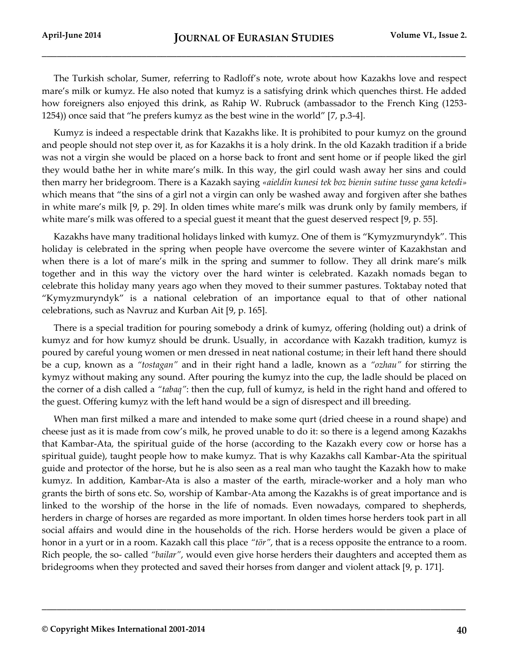The Turkish scholar, Sumer, referring to Radloff's note, wrote about how Kazakhs love and respect mare's milk or kumyz. He also noted that kumyz is a satisfying drink which quenches thirst. He added how foreigners also enjoyed this drink, as Rahip W. Rubruck (ambassador to the French King (1253- 1254)) once said that "he prefers kumyz as the best wine in the world" [7, p.3-4].

Kumyz is indeed a respectable drink that Kazakhs like. It is prohibited to pour kumyz on the ground and people should not step over it, as for Kazakhs it is a holy drink. In the old Kazakh tradition if a bride was not a virgin she would be placed on a horse back to front and sent home or if people liked the girl they would bathe her in white mare's milk. In this way, the girl could wash away her sins and could then marry her bridegroom. There is a Kazakh saying *«aieldin kunesi tek boz bienin sutine tusse gana ketedi»* which means that "the sins of a girl not a virgin can only be washed away and forgiven after she bathes in white mare's milk [9, p. 29]. In olden times white mare's milk was drunk only by family members, if white mare's milk was offered to a special guest it meant that the guest deserved respect [9, p. 55].

Kazakhs have many traditional holidays linked with kumyz. One of them is "Kymyzmuryndyk". This holiday is celebrated in the spring when people have overcome the severe winter of Kazakhstan and when there is a lot of mare's milk in the spring and summer to follow. They all drink mare's milk together and in this way the victory over the hard winter is celebrated. Kazakh nomads began to celebrate this holiday many years ago when they moved to their summer pastures. Toktabay noted that "Kymyzmuryndyk" is a national celebration of an importance equal to that of other national celebrations, such as Navruz and Kurban Ait [9, p. 165].

There is a special tradition for pouring somebody a drink of kumyz, offering (holding out) a drink of kumyz and for how kumyz should be drunk. Usually, in accordance with Kazakh tradition, kumyz is poured by careful young women or men dressed in neat national costume; in their left hand there should be a cup, known as a *"tostagan"* and in their right hand a ladle, known as a *"ozhau"* for stirring the kymyz without making any sound. After pouring the kumyz into the cup, the ladle should be placed on the corner of a dish called a *"tabaq"*: then the cup, full of kumyz, is held in the right hand and offered to the guest. Offering kumyz with the left hand would be a sign of disrespect and ill breeding.

When man first milked a mare and intended to make some qurt (dried cheese in a round shape) and cheese just as it is made from cow's milk, he proved unable to do it: so there is a legend among Kazakhs that Kambar-Ata, the spiritual guide of the horse (according to the Kazakh every cow or horse has a spiritual guide), taught people how to make kumyz. That is why Kazakhs call Kambar-Ata the spiritual guide and protector of the horse, but he is also seen as a real man who taught the Kazakh how to make kumyz. In addition, Kambar-Ata is also a master of the earth, miracle-worker and a holy man who grants the birth of sons etc. So, worship of Kambar-Ata among the Kazakhs is of great importance and is linked to the worship of the horse in the life of nomads. Even nowadays, compared to shepherds, herders in charge of horses are regarded as more important. In olden times horse herders took part in all social affairs and would dine in the households of the rich. Horse herders would be given a place of honor in a yurt or in a room. Kazakh call this place *"tör"*, that is a recess opposite the entrance to a room. Rich people, the so- called *"bailar"*, would even give horse herders their daughters and accepted them as bridegrooms when they protected and saved their horses from danger and violent attack [9, p. 171].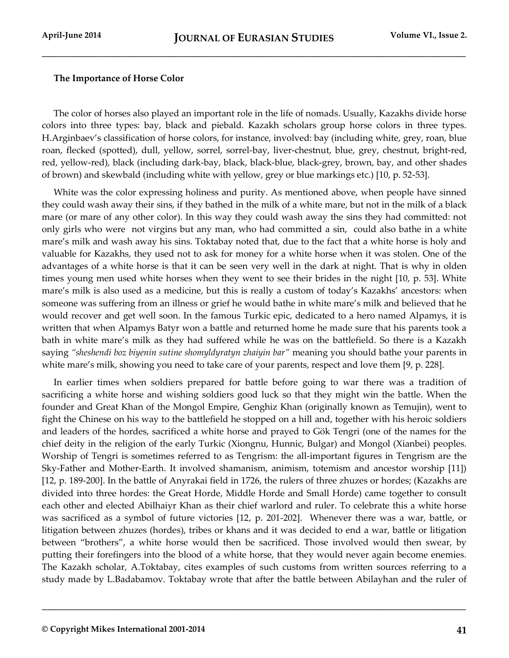## **The Importance of Horse Color**

The color of horses also played an important role in the life of nomads. Usually, Kazakhs divide horse colors into three types: bay, black and piebald. Kazakh scholars group horse colors in three types. H.Arginbaev's classification of horse colors, for instance, involved: bay (including white, grey, roan, blue roan, flecked (spotted), dull, yellow, sorrel, sorrel-bay, liver-chestnut, blue, grey, chestnut, bright-red, red, yellow-red), black (including dark-bay, black, black-blue, black-grey, brown, bay, and other shades of brown) and skewbald (including white with yellow, grey or blue markings etc.) [10, p. 52-53].

White was the color expressing holiness and purity. As mentioned above, when people have sinned they could wash away their sins, if they bathed in the milk of a white mare, but not in the milk of a black mare (or mare of any other color). In this way they could wash away the sins they had committed: not only girls who were not virgins but any man, who had committed a sin, could also bathe in a white mare's milk and wash away his sins. Toktabay noted that, due to the fact that a white horse is holy and valuable for Kazakhs, they used not to ask for money for a white horse when it was stolen. One of the advantages of a white horse is that it can be seen very well in the dark at night. That is why in olden times young men used white horses when they went to see their brides in the night [10, p. 53]. White mare's milk is also used as a medicine, but this is really a custom of today's Kazakhs' ancestors: when someone was suffering from an illness or grief he would bathe in white mare's milk and believed that he would recover and get well soon. In the famous Turkic epic, dedicated to a hero named Alpamys, it is written that when Alpamys Batyr won a battle and returned home he made sure that his parents took a bath in white mare's milk as they had suffered while he was on the battlefield. So there is a Kazakh saying *"sheshendi boz biyenin sutine shomyldyratyn zhaiyin bar"* meaning you should bathe your parents in white mare's milk, showing you need to take care of your parents, respect and love them [9, p. 228].

In earlier times when soldiers prepared for battle before going to war there was a tradition of sacrificing a white horse and wishing soldiers good luck so that they might win the battle. When the founder and Great Khan of the Mongol Empire, Genghiz Khan (originally known as Temujin), went to fight the Chinese on his way to the battlefield he stopped on a hill and, together with his heroic soldiers and leaders of the hordes, sacrificed a white horse and prayed to Gök Tengri (one of the names for the chief deity in the religion of the early Turkic (Xiongnu, Hunnic, Bulgar) and Mongol (Xianbei) peoples. Worship of Tengri is sometimes referred to as Tengrism: the all-important figures in Tengrism are the Sky-Father and Mother-Earth. It involved shamanism, animism, totemism and ancestor worship [11]) [12, p. 189-200]. In the battle of Anyrakai field in 1726, the rulers of three zhuzes or hordes; (Kazakhs are divided into three hordes: the Great Horde, Middle Horde and Small Horde) came together to consult each other and elected Abilhaiyr Khan as their chief warlord and ruler. To celebrate this a white horse was sacrificed as a symbol of future victories [12, p. 201-202]. Whenever there was a war, battle, or litigation between zhuzes (hordes), tribes or khans and it was decided to end a war, battle or litigation between "brothers", a white horse would then be sacrificed. Those involved would then swear, by putting their forefingers into the blood of a white horse, that they would never again become enemies. The Kazakh scholar, A.Toktabay, cites examples of such customs from written sources referring to a study made by L.Badabamov. Toktabay wrote that after the battle between Abilayhan and the ruler of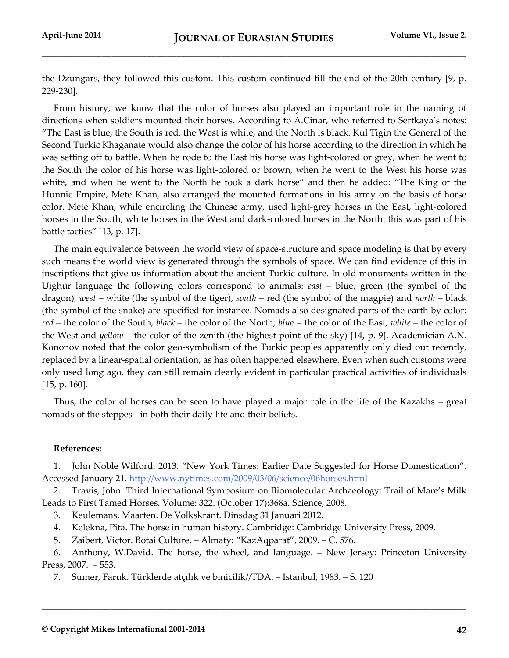the Dzungars, they followed this custom. This custom continued till the end of the 20th century [9, p. 229-230].

From history, we know that the color of horses also played an important role in the naming of directions when soldiers mounted their horses. According to A.Cinar, who referred to Sertkaya's notes: "The East is blue, the South is red, the West is white, and the North is black. Kul Tigin the General of the Second Turkic Khaganate would also change the color of his horse according to the direction in which he was setting off to battle. When he rode to the East his horse was light-colored or grey, when he went to the South the color of his horse was light-colored or brown, when he went to the West his horse was white, and when he went to the North he took a dark horse" and then he added: "The King of the Hunnic Empire, Mete Khan, also arranged the mounted formations in his army on the basis of horse color. Mete Khan, while encircling the Chinese army, used light-grey horses in the East, light-colored horses in the South, white horses in the West and dark-colored horses in the North: this was part of his battle tactics" [13, p. 17].

The main equivalence between the world view of space-structure and space modeling is that by every such means the world view is generated through the symbols of space. We can find evidence of this in inscriptions that give us information about the ancient Turkic culture. In old monuments written in the Uighur language the following colors correspond to animals: *east –* blue, green (the symbol of the dragon), *west* – white (the symbol of the tiger), *south* – red (the symbol of the magpie) and *north* – black (the symbol of the snake) are specified for instance. Nomads also designated parts of the earth by color: *red* – the color of the South, *black* – the color of the North, *blu*e – the color of the East, *white* – the color of the West and *yellow* – the color of the zenith (the highest point of the sky) [14, p. 9]. Academician A.N. Kononov noted that the color geo-symbolism of the Turkic peoples apparently only died out recently, replaced by a linear-spatial orientation, as has often happened elsewhere. Even when such customs were only used long ago, they can still remain clearly evident in particular practical activities of individuals [15, p. 160].

Thus, the color of horses can be seen to have played a major role in the life of the Kazakhs – great nomads of the steppes - in both their daily life and their beliefs.

## **References:**

1. John Noble Wilford. 2013. "New York Times: Earlier Date Suggested for Horse Domestication". Accessed January 21.<http://www.nytimes.com/2009/03/06/science/06horses.html>

2. Travis, John. Third International Symposium on Biomolecular Archaeology: Trail of Mare's Milk Leads to First Tamed Horses. Volume: 322. (October 17):368a. Science, 2008.

- 3. Keulemans, Maarten. De Volkskrant. Dinsdag 31 Januari 2012.
- 4. Kelekna, Pita. The horse in human history. Cambridge: Cambridge University Press, 2009.
- 5. Zaibert, Victor. Botai Culture. Almaty: "KazAqparat", 2009. C. 576.

6. Anthony, W.David. The horse, the wheel, and language. – New Jersey: Princeton University Press, 2007. – 553.

**\_\_\_\_\_\_\_\_\_\_\_\_\_\_\_\_\_\_\_\_\_\_\_\_\_\_\_\_\_\_\_\_\_\_\_\_\_\_\_\_\_\_\_\_\_\_\_\_\_\_\_\_\_\_\_\_\_\_\_\_\_\_\_\_\_\_\_\_\_\_\_\_\_\_\_\_\_\_\_\_\_\_\_\_\_**

7. Sumer, Faruk. Türklerde atçılık ve binicilik//TDA. – Istanbul, 1983. – S. 120